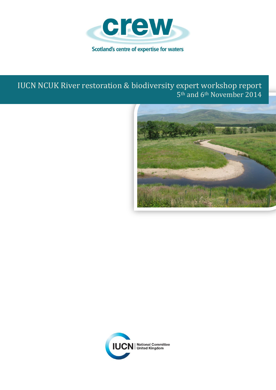

# IUCN NCUK River restoration & biodiversity expert workshop report 5<sup>th</sup> and 6<sup>th</sup> November 2014



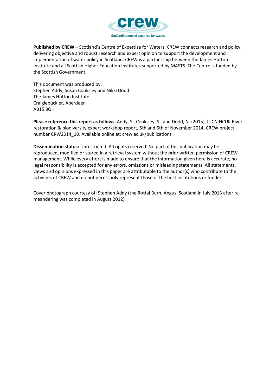

**Published by CREW** – Scotland's Centre of Expertise for Waters. CREW connects research and policy, delivering objective and robust research and expert opinion to support the development and implementation of water policy in Scotland. CREW is a partnership between the James Hutton Institute and all Scottish Higher Education Institutes supported by MASTS. The Centre is funded by the Scottish Government.

This document was produced by: Stephen Addy, Susan Cooksley and Nikki Dodd The James Hutton Institute Craigiebuckler, Aberdeen AB15 8QH

**Please reference this report as follows**: Addy, S., Cooksley, S., and Dodd, N. (2015), IUCN NCUK River restoration & biodiversity expert workshop report, 5th and 6th of November 2014, CREW project number CRW2014\_10. Available online at: crew.ac.uk/publications

**Dissemination status:** Unrestricted. All rights reserved. No part of this publication may be reproduced, modified or stored in a retrieval system without the prior written permission of CREW management. While every effort is made to ensure that the information given here is accurate, no legal responsibility is accepted for any errors, omissions or misleading statements. All statements, views and opinions expressed in this paper are attributable to the author(s) who contribute to the activities of CREW and do not necessarily represent those of the host institutions or funders.

Cover photograph courtesy of: Stephen Addy (the Rottal Burn, Angus, Scotland in July 2013 after remeandering was completed in August 2012)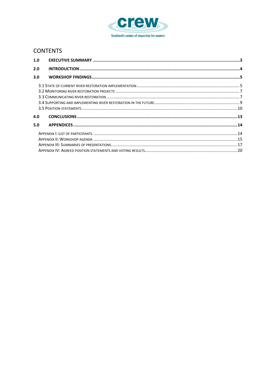

## **CONTENTS**

| 1.0 |  |
|-----|--|
| 2.0 |  |
| 3.0 |  |
|     |  |
|     |  |
|     |  |
|     |  |
|     |  |
| 4.0 |  |
| 5.0 |  |
|     |  |
|     |  |
|     |  |
|     |  |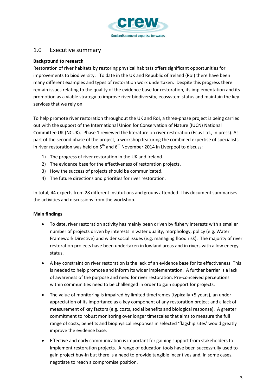

## <span id="page-3-0"></span>1.0 Executive summary

## **Background to research**

Restoration of river habitats by restoring physical habitats offers significant opportunities for improvements to biodiversity. To date in the UK and Republic of Ireland (RoI) there have been many different examples and types of restoration work undertaken. Despite this progress there remain issues relating to the quality of the evidence base for restoration, its implementation and its promotion as a viable strategy to improve river biodiversity, ecosystem status and maintain the key services that we rely on.

To help promote river restoration throughout the UK and RoI, a three-phase project is being carried out with the support of the International Union for Conservation of Nature (IUCN) National Committee UK (NCUK). Phase 1 reviewed the literature on river restoration (Ecus Ltd., in press). As part of the second phase of the project, a workshop featuring the combined expertise of specialists in river restoration was held on  $5<sup>th</sup>$  and  $6<sup>th</sup>$  November 2014 in Liverpool to discuss:

- 1) The progress of river restoration in the UK and Ireland.
- 2) The evidence base for the effectiveness of restoration projects.
- 3) How the success of projects should be communicated.
- 4) The future directions and priorities for river restoration.

In total, 44 experts from 28 different institutions and groups attended. This document summarises the activities and discussions from the workshop.

## **Main findings**

- To date, river restoration activity has mainly been driven by fishery interests with a smaller number of projects driven by interests in water quality, morphology, policy (e.g. Water Framework Directive) and wider social issues (e.g. managing flood risk). The majority of river restoration projects have been undertaken in lowland areas and in rivers with a low energy status.
- A key constraint on river restoration is the lack of an evidence base for its effectiveness. This is needed to help promote and inform its wider implementation. A further barrier is a lack of awareness of the purpose and need for river restoration. Pre-conceived perceptions within communities need to be challenged in order to gain support for projects.
- The value of monitoring is impaired by limited timeframes (typically <5 years), an underappreciation of its importance as a key component of any restoration project and a lack of measurement of key factors (e.g. costs, social benefits and biological response). A greater commitment to robust monitoring over longer timescales that aims to measure the full range of costs, benefits and biophysical responses in selected 'flagship sites' would greatly improve the evidence base.
- Effective and early communication is important for gaining support from stakeholders to implement restoration projects. A range of education tools have been successfully used to gain project buy-in but there is a need to provide tangible incentives and, in some cases, negotiate to reach a compromise position.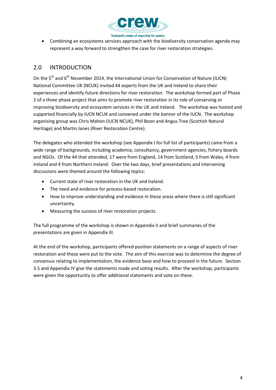

 Combining an ecosystems services approach with the biodiversity conservation agenda may represent a way forward to strengthen the case for river restoration strategies.

## <span id="page-4-0"></span>2.0 INTRODUCTION

On the 5<sup>th</sup> and 6<sup>th</sup> November 2014, the International Union for Conservation of Nature (IUCN) National Committee UK (NCUK) invited 44 experts from the UK and Ireland to share their experiences and identify future directions for river restoration. The workshop formed part of Phase 2 of a three phase project that aims to promote river restoration in its role of conserving or improving biodiversity and ecosystem services in the UK and Ireland. The workshop was hosted and supported financially by IUCN NCUK and convened under the banner of the IUCN. The workshop organising group was Chris Mahon (IUCN NCUK), Phil Boon and Angus Tree (Scottish Natural Heritage) and Martin Janes (River Restoration Centre).

The delegates who attended the workshop (see Appendix I for full list of participants) came from a wide range of backgrounds, including academia, consultancy, government agencies, fishery boards and NGOs. Of the 44 that attended, 17 were from England, 14 from Scotland, 5 from Wales, 4 from Ireland and 4 from Northern Ireland. Over the two days, brief presentations and intervening discussions were themed around the following topics:

- Current state of river restoration in the UK and Ireland.
- The need and evidence for process-based restoration.
- How to improve understanding and evidence in those areas where there is still significant uncertainty.
- Measuring the success of river restoration projects.

The full programme of the workshop is shown in Appendix II and brief summaries of the presentations are given in Appendix III.

At the end of the workshop, participants offered position statements on a range of aspects of river restoration and these were put to the vote. The aim of this exercise was to determine the degree of consensus relating to implementation, the evidence base and how to proceed in the future. Section 3.5 and Appendix IV give the statements made and voting results. After the workshop, participants were given the opportunity to offer additional statements and vote on these.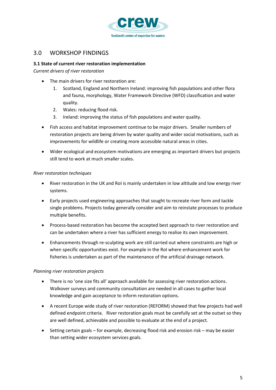

## <span id="page-5-0"></span>3.0 WORKSHOP FINDINGS

## <span id="page-5-1"></span>**3.1 State of current river restoration implementation**

*Current drivers of river restoration*

- The main drivers for river restoration are:
	- 1. Scotland, England and Northern Ireland: improving fish populations and other flora and fauna, morphology, Water Framework Directive (WFD) classification and water quality.
	- 2. Wales: reducing flood risk.
	- 3. Ireland: improving the status of fish populations and water quality.
- Fish access and habitat improvement continue to be major drivers. Smaller numbers of restoration projects are being driven by water quality and wider social motivations, such as improvements for wildlife or creating more accessible natural areas in cities.
- Wider ecological and ecosystem motivations are emerging as important drivers but projects still tend to work at much smaller scales.

## *River restoration techniques*

- River restoration in the UK and RoI is mainly undertaken in low altitude and low energy river systems.
- Early projects used engineering approaches that sought to recreate river form and tackle single problems. Projects today generally consider and aim to reinstate processes to produce multiple benefits.
- Process-based restoration has become the accepted best approach to river restoration and can be undertaken where a river has sufficient energy to realise its own improvement.
- Enhancements through re-sculpting work are still carried out where constraints are high or when specific opportunities exist. For example in the RoI where enhancement work for fisheries is undertaken as part of the maintenance of the artificial drainage network.

#### *Planning river restoration projects*

- There is no 'one size fits all' approach available for assessing river restoration actions. Walkover surveys and community consultation are needed in all cases to gather local knowledge and gain acceptance to inform restoration options.
- A recent Europe wide study of river restoration (REFORM) showed that few projects had well defined endpoint criteria. River restoration goals must be carefully set at the outset so they are well defined, achievable and possible to evaluate at the end of a project.
- Setting certain goals for example, decreasing flood risk and erosion risk may be easier than setting wider ecosystem services goals.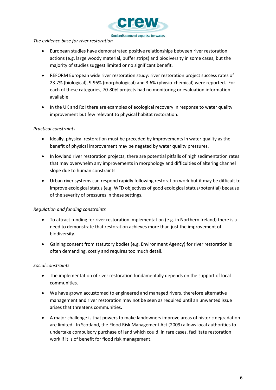

#### *The evidence base for river restoration*

- European studies have demonstrated positive relationships between river restoration actions (e.g. large woody material, buffer strips) and biodiversity in some cases, but the majority of studies suggest limited or no significant benefit.
- REFORM European wide river restoration study: river restoration project success rates of 23.7% (biological), 9.96% (morphological) and 3.6% (physio-chemical) were reported. For each of these categories, 70-80% projects had no monitoring or evaluation information available.
- In the UK and RoI there are examples of ecological recovery in response to water quality improvement but few relevant to physical habitat restoration.

## *Practical constraints*

- Ideally, physical restoration must be preceded by improvements in water quality as the benefit of physical improvement may be negated by water quality pressures.
- In lowland river restoration projects, there are potential pitfalls of high sedimentation rates that may overwhelm any improvements in morphology and difficulties of altering channel slope due to human constraints.
- Urban river systems can respond rapidly following restoration work but it may be difficult to improve ecological status (e.g. WFD objectives of good ecological status/potential) because of the severity of pressures in these settings.

## *Regulation and funding constraints*

- To attract funding for river restoration implementation (e.g. in Northern Ireland) there is a need to demonstrate that restoration achieves more than just the improvement of biodiversity.
- Gaining consent from statutory bodies (e.g. Environment Agency) for river restoration is often demanding, costly and requires too much detail.

## *Social constraints*

- The implementation of river restoration fundamentally depends on the support of local communities.
- We have grown accustomed to engineered and managed rivers, therefore alternative management and river restoration may not be seen as required until an unwanted issue arises that threatens communities.
- A major challenge is that powers to make landowners improve areas of historic degradation are limited. In Scotland, the Flood Risk Management Act (2009) allows local authorities to undertake compulsory purchase of land which could, in rare cases, facilitate restoration work if it is of benefit for flood risk management.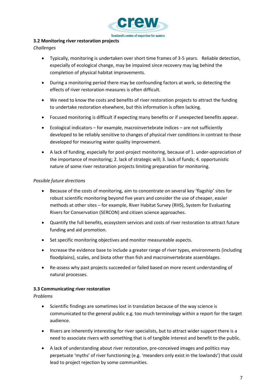

#### <span id="page-7-0"></span>**3.2 Monitoring river restoration projects**

*Challenges*

- Typically, monitoring is undertaken over short time frames of 3-5 years. Reliable detection, especially of ecological change, may be impaired since recovery may lag behind the completion of physical habitat improvements.
- During a monitoring period there may be confounding factors at work, so detecting the effects of river restoration measures is often difficult.
- We need to know the costs and benefits of river restoration projects to attract the funding to undertake restoration elsewhere, but this information is often lacking.
- Focused monitoring is difficult if expecting many benefits or if unexpected benefits appear.
- Ecological indicators for example, macroinvertebrate indices are not sufficiently developed to be reliably sensitive to changes of physical river conditions in contrast to those developed for measuring water quality improvement.
- A lack of funding, especially for post-project monitoring, because of 1. under-appreciation of the importance of monitoring; 2. lack of strategic will; 3. lack of funds; 4. opportunistic nature of some river restoration projects limiting preparation for monitoring.

## *Possible future directions*

- Because of the costs of monitoring, aim to concentrate on several key 'flagship' sites for robust scientific monitoring beyond five years and consider the use of cheaper, easier methods at other sites – for example, River Habitat Survey (RHS), System for Evaluating Rivers for Conservation (SERCON) and citizen science approaches.
- Quantify the full benefits, ecosystem services and costs of river restoration to attract future funding and aid promotion.
- Set specific monitoring objectives and monitor measureable aspects.
- Increase the evidence base to include a greater range of river types, environments (including floodplains), scales, and biota other than fish and macroinvertebrate assemblages.
- Re-assess why past projects succeeded or failed based on more recent understanding of natural processes.

## <span id="page-7-1"></span>**3.3 Communicating river restoration**

## *Problems*

- Scientific findings are sometimes lost in translation because of the way science is communicated to the general public e.g. too much terminology within a report for the target audience.
- Rivers are inherently interesting for river specialists, but to attract wider support there is a need to associate rivers with something that is of tangible interest and benefit to the public.
- A lack of understanding about river restoration, pre-conceived images and politics may perpetuate 'myths' of river functioning (e.g. 'meanders only exist in the lowlands') that could lead to project rejection by some communities.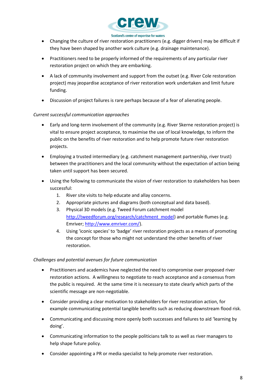

- Changing the culture of river restoration practitioners (e.g. digger drivers) may be difficult if they have been shaped by another work culture (e.g. drainage maintenance).
- Practitioners need to be properly informed of the requirements of any particular river restoration project on which they are embarking.
- A lack of community involvement and support from the outset (e.g. River Cole restoration project) may jeopardise acceptance of river restoration work undertaken and limit future funding.
- Discussion of project failures is rare perhaps because of a fear of alienating people.

## *Current successful communication approaches*

- Early and long-term involvement of the community (e.g. River Skerne restoration project) is vital to ensure project acceptance, to maximise the use of local knowledge, to inform the public on the benefits of river restoration and to help promote future river restoration projects.
- Employing a trusted intermediary (e.g. catchment management partnership, river trust) between the practitioners and the local community without the expectation of action being taken until support has been secured.
- Using the following to communicate the vision of river restoration to stakeholders has been successful:
	- 1. River site visits to help educate and allay concerns.
	- 2. Appropriate pictures and diagrams (both conceptual and data based).
	- 3. Physical 3D models (e.g. Tweed Forum catchment model [http://tweedforum.org/research/catchment\\_model\)](http://tweedforum.org/research/catchment_model) and portable flumes (e.g. Emriver; [http://www.emriver.com/\)](http://www.emriver.com/).
	- 4. Using 'iconic species' to 'badge' river restoration projects as a means of promoting the concept for those who might not understand the other benefits of river restoration.

## *Challenges and potential avenues for future communication*

- Practitioners and academics have neglected the need to compromise over proposed river restoration actions. A willingness to negotiate to reach acceptance and a consensus from the public is required. At the same time it is necessary to state clearly which parts of the scientific message are non-negotiable.
- Consider providing a clear motivation to stakeholders for river restoration action, for example communicating potential tangible benefits such as reducing downstream flood risk.
- Communicating and discussing more openly both successes and failures to aid 'learning by doing'.
- Communicating information to the people politicians talk to as well as river managers to help shape future policy.
- Consider appointing a PR or media specialist to help promote river restoration.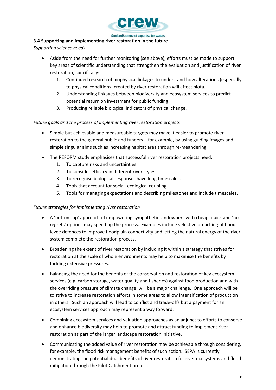

## <span id="page-9-0"></span>**3.4 Supporting and implementing river restoration in the future**

*Supporting science needs*

- Aside from the need for further monitoring (see above), efforts must be made to support key areas of scientific understanding that strengthen the evaluation and justification of river restoration, specifically:
	- 1. Continued research of biophysical linkages to understand how alterations (especially to physical conditions) created by river restoration will affect biota.
	- 2. Understanding linkages between biodiversity and ecosystem services to predict potential return on investment for public funding.
	- 3. Producing reliable biological indicators of physical change.

## *Future goals and the process of implementing river restoration projects*

- Simple but achievable and measureable targets may make it easier to promote river restoration to the general public and funders – for example, by using guiding images and simple singular aims such as increasing habitat area through re-meandering.
- The REFORM study emphasises that successful river restoration projects need:
	- 1. To capture risks and uncertainties.
	- 2. To consider efficacy in different river styles.
	- 3. To recognise biological responses have long timescales.
	- 4. Tools that account for social–ecological coupling.
	- 5. Tools for managing expectations and describing milestones and include timescales.

## *Future strategies for implementing river restoration*

- A 'bottom-up' approach of empowering sympathetic landowners with cheap, quick and 'noregrets' options may speed up the process. Examples include selective breaching of flood levee defences to improve floodplain connectivity and letting the natural energy of the river system complete the restoration process.
- Broadening the extent of river restoration by including it within a strategy that strives for restoration at the scale of whole environments may help to maximise the benefits by tackling extensive pressures.
- Balancing the need for the benefits of the conservation and restoration of key ecosystem services (e.g. carbon storage, water quality and fisheries) against food production and with the overriding pressure of climate change, will be a major challenge. One approach will be to strive to increase restoration efforts in some areas to allow intensification of production in others. Such an approach will lead to conflict and trade-offs but a payment for an ecosystem services approach may represent a way forward.
- Combining ecosystem services and valuation approaches as an adjunct to efforts to conserve and enhance biodiversity may help to promote and attract funding to implement river restoration as part of the larger landscape restoration initiative.
- Communicating the added value of river restoration may be achievable through considering, for example, the flood risk management benefits of such action. SEPA is currently demonstrating the potential dual benefits of river restoration for river ecosystems and flood mitigation through the Pilot Catchment project.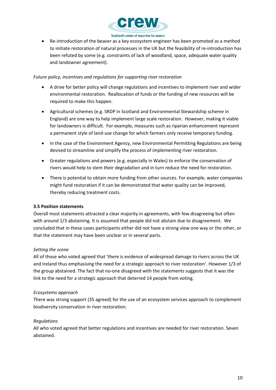

 Re-introduction of the beaver as a key ecosystem engineer has been promoted as a method to initiate restoration of natural processes in the UK but the feasibility of re-introduction has been refuted by some (e.g. constraints of lack of woodland, space, adequate water quality and landowner agreement).

## *Future policy, incentives and regulations for supporting river restoration*

- A drive for better policy will change regulations and incentives to implement river and wider environmental restoration. Reallocation of funds or the funding of new resources will be required to make this happen.
- Agricultural schemes (e.g. SRDP in Scotland and Environmental Stewardship scheme in England) are one way to help implement large scale restoration. However, making it viable for landowners is difficult. For example, measures such as riparian enhancement represent a permanent style of land-use change for which farmers only receive temporary funding.
- In the case of the Environment Agency, new Environmental Permitting Regulations are being devised to streamline and simplify the process of implementing river restoration.
- Greater regulations and powers (e.g. especially in Wales) to enforce the conservation of rivers would help to stem their degradation and in turn reduce the need for restoration.
- There is potential to obtain more funding from other sources. For example, water companies might fund restoration if it can be demonstrated that water quality can be improved, thereby reducing treatment costs.

## <span id="page-10-0"></span>**3.5 Position statements**

Overall most statements attracted a clear majority in agreements, with few disagreeing but often with around 1/3 abstaining. It is assumed that people did not abstain due to disagreement. We concluded that in these cases participants either did not have a strong view one way or the other, or that the statement may have been unclear or in several parts.

#### *Setting the scene*

All of those who voted agreed that 'there is evidence of widespread damage to rivers across the UK and Ireland thus emphasising the need for a strategic approach to river restoration'. However 1/3 of the group abstained. The fact that no-one disagreed with the statements suggests that it was the link to the need for a strategic approach that deterred 14 people from voting.

#### *Ecosystems approach*

There was strong support (35 agreed) for the use of an ecosystem services approach to complement biodiversity conservation in river restoration.

## *Regulations*

All who voted agreed that better regulations and incentives are needed for river restoration. Seven abstained.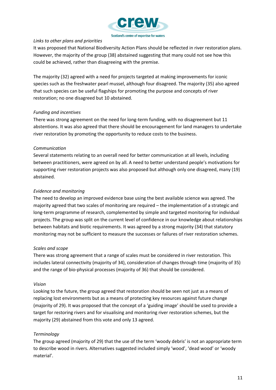

## *Links to other plans and priorities*

It was proposed that National Biodiversity Action Plans should be reflected in river restoration plans. However, the majority of the group (38) abstained suggesting that many could not see how this could be achieved, rather than disagreeing with the premise.

The majority (32) agreed with a need for projects targeted at making improvements for iconic species such as the freshwater pearl mussel, although four disagreed. The majority (35) also agreed that such species can be useful flagships for promoting the purpose and concepts of river restoration; no one disagreed but 10 abstained.

## *Funding and incentives*

There was strong agreement on the need for long-term funding, with no disagreement but 11 abstentions. It was also agreed that there should be encouragement for land managers to undertake river restoration by promoting the opportunity to reduce costs to the business.

## *Communication*

Several statements relating to an overall need for better communication at all levels, including between practitioners, were agreed on by all. A need to better understand people's motivations for supporting river restoration projects was also proposed but although only one disagreed, many (19) abstained.

## *Evidence and monitoring*

The need to develop an improved evidence base using the best available science was agreed. The majority agreed that two scales of monitoring are required – the implementation of a strategic and long-term programme of research, complemented by simple and targeted monitoring for individual projects. The group was split on the current level of confidence in our knowledge about relationships between habitats and biotic requirements. It was agreed by a strong majority (34) that statutory monitoring may not be sufficient to measure the successes or failures of river restoration schemes.

#### *Scales and scope*

There was strong agreement that a range of scales must be considered in river restoration. This includes lateral connectivity (majority of 34), consideration of changes through time (majority of 35) and the range of bio-physical processes (majority of 36) that should be considered.

#### *Vision*

Looking to the future, the group agreed that restoration should be seen not just as a means of replacing lost environments but as a means of protecting key resources against future change (majority of 29). It was proposed that the concept of a 'guiding image' should be used to provide a target for restoring rivers and for visualising and monitoring river restoration schemes, but the majority (29) abstained from this vote and only 13 agreed.

## *Terminology*

The group agreed (majority of 29) that the use of the term 'woody debris' is not an appropriate term to describe wood in rivers. Alternatives suggested included simply 'wood', 'dead wood' or 'woody material'.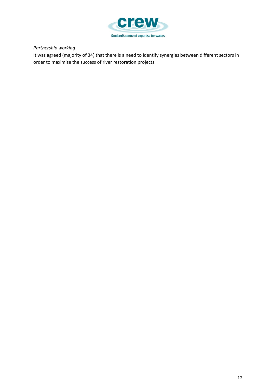

## *Partnership working*

It was agreed (majority of 34) that there is a need to identify synergies between different sectors in order to maximise the success of river restoration projects.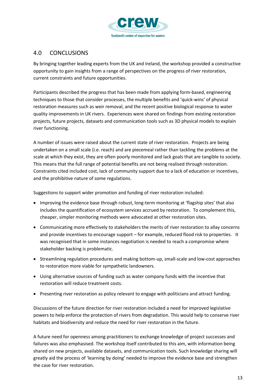

## <span id="page-13-0"></span>4.0 CONCLUSIONS

By bringing together leading experts from the UK and Ireland, the workshop provided a constructive opportunity to gain insights from a range of perspectives on the progress of river restoration, current constraints and future opportunities.

Participants described the progress that has been made from applying form-based, engineering techniques to those that consider processes, the multiple benefits and 'quick-wins' of physical restoration measures such as weir removal, and the recent positive biological response to water quality improvements in UK rivers. Experiences were shared on findings from existing restoration projects, future projects, datasets and communication tools such as 3D physical models to explain river functioning.

A number of issues were raised about the current state of river restoration. Projects are being undertaken on a small scale (i.e. reach) and are piecemeal rather than tackling the problems at the scale at which they exist, they are often poorly monitored and lack goals that are tangible to society. This means that the full range of potential benefits are not being realised through restoration. Constraints cited included cost, lack of community support due to a lack of education or incentives, and the prohibitive nature of some regulations.

Suggestions to support wider promotion and funding of river restoration included:

- Improving the evidence base through robust, long-term monitoring at 'flagship sites' that also includes the quantification of ecosystem services accrued by restoration. To complement this, cheaper, simpler monitoring methods were advocated at other restoration sites.
- Communicating more effectively to stakeholders the merits of river restoration to allay concerns and provide incentives to encourage support – for example, reduced flood risk to properties. It was recognised that in some instances negotiation is needed to reach a compromise where stakeholder backing is problematic.
- Streamlining regulation procedures and making bottom-up, small-scale and low-cost approaches to restoration more viable for sympathetic landowners.
- Using alternative sources of funding such as water company funds with the incentive that restoration will reduce treatment costs.
- Presenting river restoration as policy relevant to engage with politicians and attract funding.

Discussions of the future direction for river restoration included a need for improved legislative powers to help enforce the protection of rivers from degradation. This would help to conserve river habitats and biodiversity and reduce the need for river restoration in the future.

A future need for openness among practitioners to exchange knowledge of project successes and failures was also emphasised. The workshop itself contributed to this aim, with information being shared on new projects, available datasets, and communication tools. Such knowledge sharing will greatly aid the process of 'learning by doing' needed to improve the evidence base and strengthen the case for river restoration.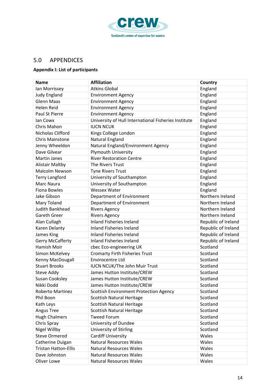

## <span id="page-14-0"></span>5.0 APPENDICES

## <span id="page-14-1"></span>**Appendix I: List of participants**

| <b>Name</b>                 | <b>Affiliation</b>                                   | Country             |
|-----------------------------|------------------------------------------------------|---------------------|
| Ian Morrissey               | <b>Atkins Global</b>                                 | England             |
| <b>Judy England</b>         | <b>Environment Agency</b>                            | England             |
| <b>Glenn Maas</b>           | <b>Environment Agency</b>                            | England             |
| <b>Helen Reid</b>           | <b>Environment Agency</b>                            | England             |
| Paul St Pierre              | <b>Environment Agency</b>                            | England             |
| lan Cowx                    | University of Hull International Fisheries Institute | England             |
| Chris Mahon                 | <b>IUCN NCUK</b>                                     | England             |
| Nicholas Clifford           | Kings College London                                 | England             |
| <b>Chris Mainstone</b>      | Natural England                                      | England             |
| Jenny Wheeldon              | Natural England/Environment Agency                   | England             |
| Dave Gilvear                | <b>Plymouth University</b>                           | England             |
| <b>Martin Janes</b>         | <b>River Restoration Centre</b>                      | England             |
| <b>Alistair Maltby</b>      | The Rivers Trust                                     | England             |
| Malcolm Newson              | <b>Tyne Rivers Trust</b>                             | England             |
| <b>Terry Langford</b>       | University of Southampton                            | England             |
| Marc Naura                  | University of Southampton                            | England             |
| <b>Fiona Bowles</b>         | <b>Wessex Water</b>                                  | England             |
| Jake Gibson                 | Department of Environment                            | Northern Ireland    |
| Mary Toland                 | Department of Environment                            | Northern Ireland    |
| Judith Bankhead             | <b>Rivers Agency</b>                                 | Northern Ireland    |
| <b>Gareth Greer</b>         | <b>Rivers Agency</b>                                 | Northern Ireland    |
| Alan Cullagh                | <b>Inland Fisheries Ireland</b>                      | Republic of Ireland |
| Karen Delanty               | <b>Inland Fisheries Ireland</b>                      | Republic of Ireland |
| James King                  | <b>Inland Fisheries Ireland</b>                      | Republic of Ireland |
| <b>Gerry McCafferty</b>     | <b>Inland Fisheries Ireland</b>                      | Republic of Ireland |
| Hamish Moir                 | cbec Eco-engineering UK                              | Scotland            |
| Simon McKelvey              | <b>Cromarty Firth Fisheries Trust</b>                | Scotland            |
| Kenny MacDougall            | <b>Envirocentre Ltd</b>                              | Scotland            |
| <b>Stuart Brooks</b>        | <b>IUCN NCUK/The John Muir Trust</b>                 | Scotland            |
| <b>Steve Addy</b>           | James Hutton Institute/CREW                          | Scotland            |
| <b>Susan Cooksley</b>       | James Hutton Institute/CREW                          | Scotland            |
| Nikki Dodd                  | James Hutton Institute/CREW                          | Scotland            |
| Roberto Martinez            | <b>Scottish Environment Protection Agency</b>        | Scotland            |
| Phil Boon                   | <b>Scottish Natural Heritage</b>                     | Scotland            |
| Kath Leys                   | <b>Scottish Natural Heritage</b>                     | Scotland            |
| Angus Tree                  | <b>Scottish Natural Heritage</b>                     | Scotland            |
| <b>Hugh Chalmers</b>        | <b>Tweed Forum</b>                                   | Scotland            |
| Chris Spray                 | University of Dundee                                 | Scotland            |
| Nigel Willby                | University of Stirling                               | Scotland            |
| <b>Steve Ormerod</b>        | <b>Cardiff University</b>                            | Wales               |
| Catherine Duigan            | <b>Natural Resources Wales</b>                       | Wales               |
| <b>Tristan Hatton-Ellis</b> | <b>Natural Resources Wales</b>                       | Wales               |
| Dave Johnston               | <b>Natural Resources Wales</b>                       | Wales               |
| Oliver Lowe                 | <b>Natural Resources Wales</b>                       | Wales               |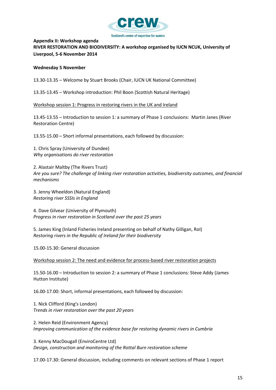

## <span id="page-15-0"></span>**Appendix II: Workshop agenda RIVER RESTORATION AND BIODIVERSITY: A workshop organised by IUCN NCUK, University of Liverpool, 5-6 November 2014**

#### **Wednesday 5 November**

13.30-13.35 – Welcome by Stuart Brooks (Chair, IUCN UK National Committee)

13.35-13.45 – Workshop introduction: Phil Boon (Scottish Natural Heritage)

Workshop session 1: Progress in restoring rivers in the UK and Ireland

13.45-13.55 – Introduction to session 1: a summary of Phase 1 conclusions: Martin Janes (River Restoration Centre)

13.55-15.00 – Short informal presentations, each followed by discussion:

1. Chris Spray (University of Dundee) *Why organisations do river restoration*

2. Alastair Maltby (The Rivers Trust) *Are you sure? The challenge of linking river restoration activities, biodiversity outcomes, and financial mechanisms*

3. Jenny Wheeldon (Natural England) *Restoring river SSSIs in England*

4. Dave Gilvear (University of Plymouth) *Progress in river restoration in Scotland over the past 25 years*

5. James King (Inland Fisheries Ireland presenting on behalf of Nathy Gilligan, RoI) *Restoring rivers in the Republic of Ireland for their biodiversity*

15.00-15.30: General discussion

Workshop session 2: The need and evidence for process-based river restoration projects

15.50-16.00 – Introduction to session 2: a summary of Phase 1 conclusions: Steve Addy (James Hutton Institute)

16.00-17.00: Short, informal presentations, each followed by discussion:

1. Nick Clifford (King's London) *Trends in river restoration over the past 20 years*

2. Helen Reid (Environment Agency) *Improving communication of the evidence base for restoring dynamic rivers in Cumbria*

3. Kenny MacDougall (EnviroCentre Ltd) *Design, construction and monitoring of the Rottal Burn restoration scheme*

17.00-17.30: General discussion, including comments on relevant sections of Phase 1 report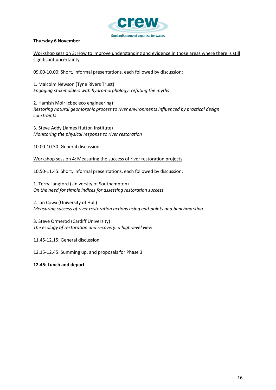

#### **Thursday 6 November**

Workshop session 3: How to improve understanding and evidence in those areas where there is still significant uncertainty

09.00-10.00: Short, informal presentations, each followed by discussion:

1. Malcolm Newson (Tyne Rivers Trust) *Engaging stakeholders with hydromorphology: refuting the myths*

2. Hamish Moir (cbec eco engineering) *Restoring natural geomorphic process to river environments influenced by practical design constraints*

3. Steve Addy (James Hutton Institute) *Monitoring the physical response to river restoration*

10.00-10.30: General discussion

Workshop session 4: Measuring the success of river restoration projects

10.50-11.45: Short, informal presentations, each followed by discussion:

1. Terry Langford (University of Southampton) *On the need for simple indices for assessing restoration success*

2. Ian Cowx (University of Hull) *Measuring success of river restoration actions using end-points and benchmarking*

3. Steve Ormerod (Cardiff University) *The ecology of restoration and recovery: a high-level view*

11.45-12.15: General discussion

12.15-12.45: Summing up, and proposals for Phase 3

**12.45: Lunch and depart**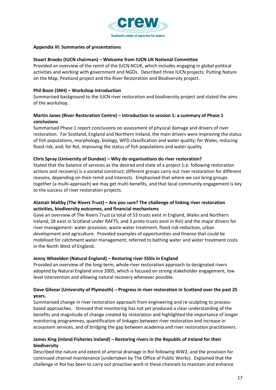

#### <span id="page-17-0"></span>**Appendix III: Summaries of presentations**

#### **Stuart Brooks (IUCN chairman) – Welcome from IUCN UK National Committee**

Provided an overview of the remit of the IUCN NCUK, which includes engaging in global political activities and working with government and NGOs. Described three IUCN projects: Putting Nature on the Map, Peatland project and the River Restoration and Biodiversity project.

#### **Phil Boon (SNH) – Workshop introduction**

Summarised background to the IUCN river restoration and biodiversity project and stated the aims of the workshop.

## **Martin Janes (River Restoration Centre) – Introduction to session 1: a summary of Phase 1 conclusions**

Summarised Phase 1 report conclusions on assessment of physical damage and drivers of river restoration. For Scotland, England and Northern Ireland, the main drivers were improving the status of fish populations, morphology, biology, WFD classification and water quality; for Wales, reducing flood risk, and; for RoI, improving the status of fish populations and water quality.

#### **Chris Spray (University of Dundee) – Why do organisations do river restoration?**

Stated that the balance of services as the desired end state of a project (i.e. following restoration actions and recovery) is a societal construct; different groups carry out river restoration for different reasons, depending on their remit and interests. Emphasised that where we can bring groups together (a multi-approach) we may get multi-benefits, and that local community engagement is key to the success of river restoration projects.

## **Alastair Maltby (The Rivers Trust) – Are you sure? The challenge of linking river restoration activities, biodiversity outcomes, and financial mechanisms**

Gave an overview of The Rivers Trust (a total of 53 trusts exist in England, Wales and Northern Ireland; 28 exist in Scotland under RAFTS; and 3 proto-trusts exist in RoI) and the major drivers for river management: water provision, waste water treatment, flood risk reduction, urban development and agriculture. Provided examples of opportunities and finance that could be mobilised for catchment water management; referred to bathing water and water treatment costs in the North West of England.

#### **Jenny Wheeldon (Natural England) – Restoring river SSSIs in England**

Provided an overview of the long-term, whole-river restoration approach to designated rivers adopted by Natural England since 2005, which is focused on strong stakeholder engagement, low level intervention and allowing natural recovery whenever possible.

## **Dave Gilvear (University of Plymouth) – Progress in river restoration in Scotland over the past 25 years.**

Summarised change in river restoration approach from engineering and re-sculpting to processbased approaches. Stressed that monitoring has not yet produced a clear understanding of the benefits and magnitude of change created by restoration and highlighted the importance of longer monitoring programmes, quantification of linkages between river restoration and increase in ecosystem services, and of bridging the gap between academia and river restoration practitioners.

## **James King (Inland Fisheries Ireland) – Restoring rivers in the Republic of Ireland for their biodiversity**

Described the nature and extent of arterial drainage in RoI following WW2, and the provision for continued channel maintenance (undertaken by The Office of Public Works). Explained that the challenge in RoI has been to carry out proactive work in these channels to maintain and enhance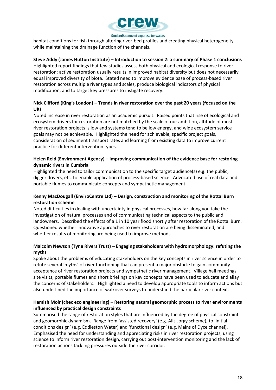

habitat conditions for fish through altering river-bed profiles and creating physical heterogeneity while maintaining the drainage function of the channels.

## **Steve Addy (James Hutton Institute) – Introduction to session 2: a summary of Phase 1 conclusions**

Highlighted report findings that few studies assess both physical and ecological response to river restoration; active restoration usually results in improved habitat diversity but does not necessarily equal improved diversity of biota. Stated need to improve evidence base of process-based river restoration across multiple river types and scales, produce biological indicators of physical modification, and to target key pressures to instigate recovery.

## **Nick Clifford (King's London) – Trends in river restoration over the past 20 years (focused on the UK)**

Noted increase in river restoration as an academic pursuit. Raised points that rise of ecological and ecosystem drivers for restoration are not matched by the scale of our ambition, altitude of most river restoration projects is low and systems tend to be low energy, and wide ecosystem service goals may not be achievable. Highlighted the need for achievable, specific project goals, consideration of sediment transport rates and learning from existing data to improve current practice for different intervention types.

## **Helen Reid (Environment Agency) – Improving communication of the evidence base for restoring dynamic rivers in Cumbria**

Highlighted the need to tailor communication to the specific target audience(s) e.g. the public, digger drivers, etc. to enable application of process-based science. Advocated use of real data and portable flumes to communicate concepts and sympathetic management.

## **Kenny MacDougall (EnviroCentre Ltd) – Design, construction and monitoring of the Rottal Burn restoration scheme**

Noted difficulties in dealing with uncertainty in physical processes, how far along you take the investigation of natural processes and of communicating technical aspects to the public and landowners. Described the effects of a 1 in 10 year flood shortly after restoration of the Rottal Burn. Questioned whether innovative approaches to river restoration are being disseminated, and whether results of monitoring are being used to improve methods.

## **Malcolm Newson (Tyne Rivers Trust) – Engaging stakeholders with hydromorphology: refuting the myths**

Spoke about the problems of educating stakeholders on the key concepts in river science in order to refute several 'myths' of river functioning that can present a major obstacle to gain community acceptance of river restoration projects and sympathetic river management. Village hall meetings, site visits, portable flumes and short briefings on key concepts have been used to educate and allay the concerns of stakeholders. Highlighted a need to develop appropriate tools to inform actions but also underlined the importance of walkover surveys to understand the particular river context.

## **Hamish Moir (cbec eco engineering) – Restoring natural geomorphic process to river environments influenced by practical design constraints**

Summarised the range of restoration styles that are influenced by the degree of physical constraint and geomorphic dynamism. Range from 'assisted recovery' (e.g. Allt Lorgy scheme), to 'initial conditions design' (e.g. Eddleston Water) and 'functional design' (e.g. Mains of Dyce channel). Emphasised the need for understanding and appreciating risks in river restoration projects, using science to inform river restoration design, carrying out post-intervention monitoring and the lack of restoration actions tackling pressures outside the river corridor.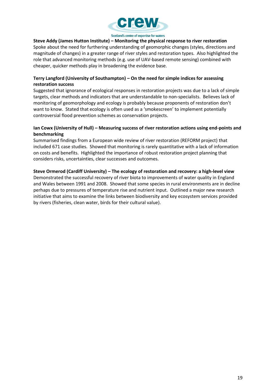

**Steve Addy (James Hutton Institute) – Monitoring the physical response to river restoration** Spoke about the need for furthering understanding of geomorphic changes (styles, directions and magnitude of changes) in a greater range of river styles and restoration types. Also highlighted the role that advanced monitoring methods (e.g. use of UAV-based remote sensing) combined with cheaper, quicker methods play in broadening the evidence base.

## **Terry Langford (University of Southampton) – On the need for simple indices for assessing restoration success**

Suggested that ignorance of ecological responses in restoration projects was due to a lack of simple targets, clear methods and indicators that are understandable to non-specialists. Believes lack of monitoring of geomorphology and ecology is probably because proponents of restoration don't want to know. Stated that ecology is often used as a 'smokescreen' to implement potentially controversial flood prevention schemes as conservation projects.

## **Ian Cowx (University of Hull) – Measuring success of river restoration actions using end-points and benchmarking**

Summarised findings from a European wide review of river restoration (REFORM project) that included 671 case studies. Showed that monitoring is rarely quantitative with a lack of information on costs and benefits. Highlighted the importance of robust restoration project planning that considers risks, uncertainties, clear successes and outcomes.

## **Steve Ormerod (Cardiff University) – The ecology of restoration and recovery: a high-level view**

Demonstrated the successful recovery of river biota to improvements of water quality in England and Wales between 1991 and 2008. Showed that some species in rural environments are in decline perhaps due to pressures of temperature rise and nutrient input. Outlined a major new research initiative that aims to examine the links between biodiversity and key ecosystem services provided by rivers (fisheries, clean water, birds for their cultural value).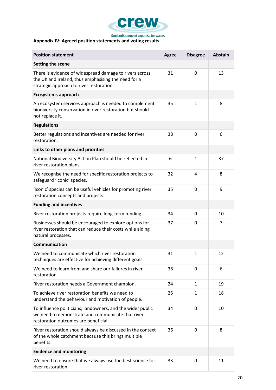

## <span id="page-20-0"></span>**Appendix IV: Agreed position statements and voting results.**

| <b>Position statement</b>                                                                                                                                  | <b>Agree</b> | <b>Disagree</b> | <b>Abstain</b> |
|------------------------------------------------------------------------------------------------------------------------------------------------------------|--------------|-----------------|----------------|
| Setting the scene                                                                                                                                          |              |                 |                |
| There is evidence of widespread damage to rivers across<br>the UK and Ireland, thus emphasising the need for a<br>strategic approach to river restoration. | 31           | 0               | 13             |
| <b>Ecosystems approach</b>                                                                                                                                 |              |                 |                |
| An ecosystem services approach is needed to complement<br>biodiversity conservation in river restoration but should<br>not replace it.                     | 35           | $\mathbf{1}$    | 8              |
| <b>Regulations</b>                                                                                                                                         |              |                 |                |
| Better regulations and incentives are needed for river<br>restoration.                                                                                     | 38           | $\mathbf 0$     | 6              |
| Links to other plans and priorities                                                                                                                        |              |                 |                |
| National Biodiversity Action Plan should be reflected in<br>river restoration plans.                                                                       | 6            | $\mathbf{1}$    | 37             |
| We recognise the need for specific restoration projects to<br>safeguard 'iconic' species.                                                                  | 32           | 4               | 8              |
| 'Iconic' species can be useful vehicles for promoting river<br>restoration concepts and projects.                                                          | 35           | 0               | 9              |
| <b>Funding and incentives</b>                                                                                                                              |              |                 |                |
| River restoration projects require long-term funding.                                                                                                      | 34           | 0               | 10             |
| Businesses should be encouraged to explore options for<br>river restoration that can reduce their costs while aiding<br>natural processes.                 | 37           | $\mathbf{0}$    | 7              |
| Communication                                                                                                                                              |              |                 |                |
| We need to communicate which river restoration<br>techniques are effective for achieving different goals.                                                  | 31           | $\mathbf{1}$    | 12             |
| We need to learn from and share our failures in river<br>restoration.                                                                                      | 38           | 0               | 6              |
| River restoration needs a Government champion.                                                                                                             | 24           | $\mathbf{1}$    | 19             |
| To achieve river restoration benefits we need to<br>understand the behaviour and motivation of people.                                                     | 25           | 1               | 18             |
| To influence politicians, landowners, and the wider public<br>we need to demonstrate and communicate that river<br>restoration outcomes are beneficial.    | 34           | $\Omega$        | 10             |
| River restoration should always be discussed in the context<br>of the whole catchment because this brings multiple<br>benefits.                            | 36           | 0               | 8              |
| <b>Evidence and monitoring</b>                                                                                                                             |              |                 |                |
| We need to ensure that we always use the best science for<br>river restoration.                                                                            | 33           | 0               | 11             |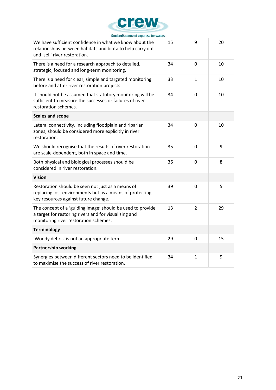

| We have sufficient confidence in what we know about the<br>relationships between habitats and biota to help carry out<br>and 'sell' river restoration.       | 15 | 9              | 20 |
|--------------------------------------------------------------------------------------------------------------------------------------------------------------|----|----------------|----|
| There is a need for a research approach to detailed,<br>strategic, focused and long-term monitoring.                                                         | 34 | $\mathbf 0$    | 10 |
| There is a need for clear, simple and targeted monitoring<br>before and after river restoration projects.                                                    | 33 | 1              | 10 |
| It should not be assumed that statutory monitoring will be<br>sufficient to measure the successes or failures of river<br>restoration schemes.               | 34 | $\mathbf 0$    | 10 |
| <b>Scales and scope</b>                                                                                                                                      |    |                |    |
| Lateral connectivity, including floodplain and riparian<br>zones, should be considered more explicitly in river<br>restoration.                              | 34 | $\mathbf 0$    | 10 |
| We should recognise that the results of river restoration<br>are scale-dependent, both in space and time.                                                    | 35 | $\overline{0}$ | 9  |
| Both physical and biological processes should be<br>considered in river restoration.                                                                         | 36 | $\overline{0}$ | 8  |
| <b>Vision</b>                                                                                                                                                |    |                |    |
| Restoration should be seen not just as a means of<br>replacing lost environments but as a means of protecting<br>key resources against future change.        | 39 | $\mathbf 0$    | 5  |
| The concept of a 'guiding image' should be used to provide<br>a target for restoring rivers and for visualising and<br>monitoring river restoration schemes. | 13 | $\overline{2}$ | 29 |
| <b>Terminology</b>                                                                                                                                           |    |                |    |
| 'Woody debris' is not an appropriate term.                                                                                                                   | 29 | $\mathbf 0$    | 15 |
| <b>Partnership working</b>                                                                                                                                   |    |                |    |
| Synergies between different sectors need to be identified<br>to maximise the success of river restoration.                                                   | 34 | 1              | 9  |